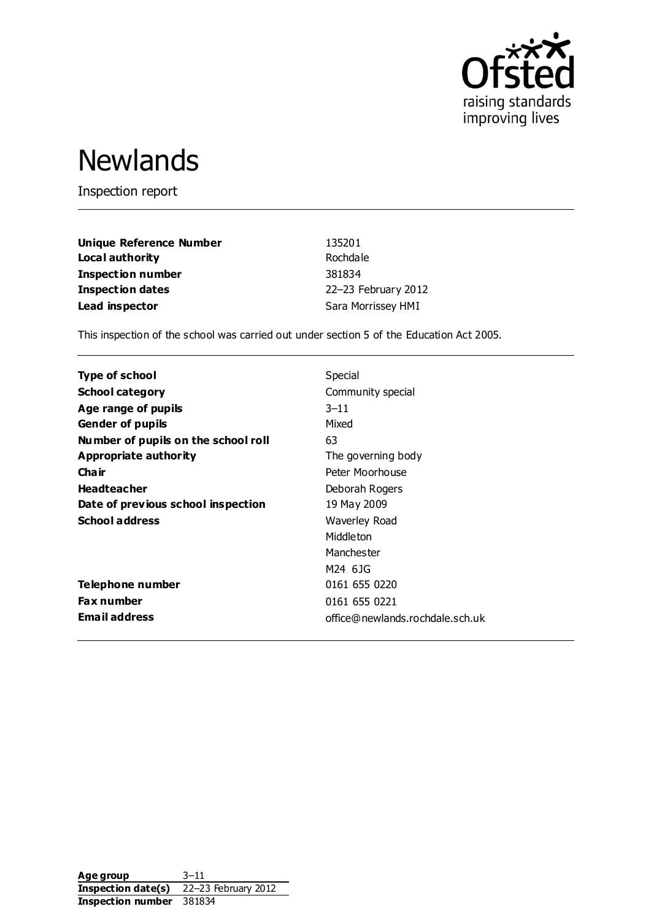

# **Newlands**

Inspection report

| <b>Unique Reference Number</b> | 135201              |
|--------------------------------|---------------------|
| Local authority                | Rochdale            |
| <b>Inspection number</b>       | 381834              |
| <b>Inspection dates</b>        | 22-23 February 2012 |
| Lead inspector                 | Sara Morrissey HMI  |

This inspection of the school was carried out under section 5 of the Education Act 2005.

| <b>Type of school</b>               | Special                         |
|-------------------------------------|---------------------------------|
| <b>School category</b>              | Community special               |
| Age range of pupils                 | $3 - 11$                        |
| <b>Gender of pupils</b>             | Mixed                           |
| Number of pupils on the school roll | 63                              |
| Appropriate authority               | The governing body              |
| Cha ir                              | Peter Moorhouse                 |
| <b>Headteacher</b>                  | Deborah Rogers                  |
| Date of previous school inspection  | 19 May 2009                     |
| <b>School address</b>               | Waverley Road                   |
|                                     | Middleton                       |
|                                     | Manchester                      |
|                                     | M24 6JG                         |
| Telephone number                    | 0161 655 0220                   |
| Fax number                          | 0161 655 0221                   |
| <b>Email address</b>                | office@newlands.rochdale.sch.uk |

**Age group** 3–11 **Inspection date(s)** 22–23 February 2012 **Inspection number** 381834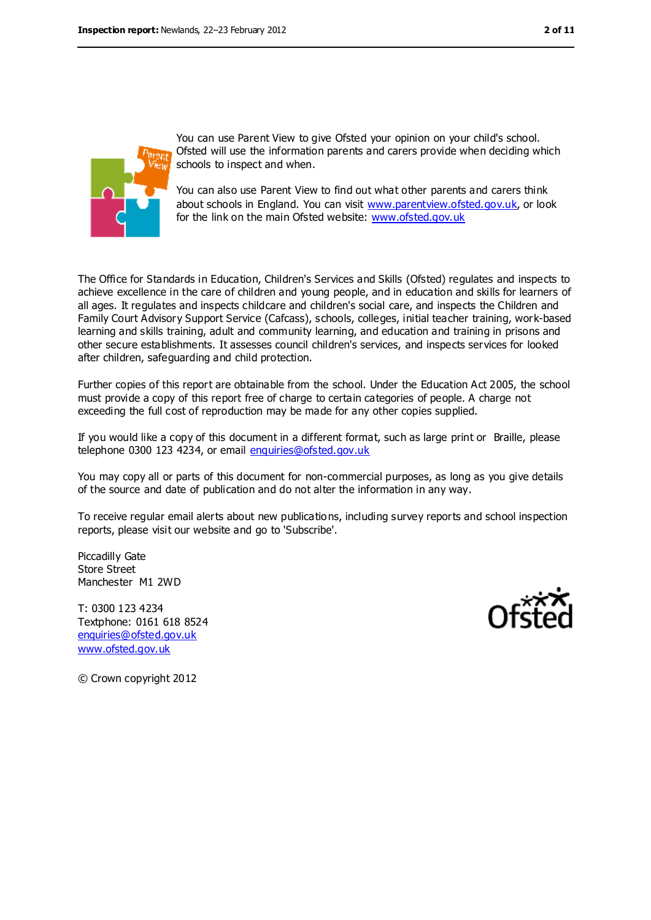

You can use Parent View to give Ofsted your opinion on your child's school. Ofsted will use the information parents and carers provide when deciding which schools to inspect and when.

You can also use Parent View to find out what other parents and carers think about schools in England. You can visit [www.parentview.ofsted.gov.uk,](../../../../smorrissey/AppData/Local/Microsoft/Windows/Temporary%20Internet%20Files/OLKBD94/www.parentview.ofsted.gov.uk) or look for the link on the main Ofsted website: [www.ofsted.gov.uk](../../../../smorrissey/AppData/Local/Microsoft/Windows/Temporary%20Internet%20Files/OLKBD94/www.ofsted.gov.uk)

The Office for Standards in Education, Children's Services and Skills (Ofsted) regulates and inspects to achieve excellence in the care of children and young people, and in education and skills for learners of all ages. It regulates and inspects childcare and children's social care, and inspects the Children and Family Court Advisory Support Service (Cafcass), schools, colleges, initial teacher training, work-based learning and skills training, adult and community learning, and education and training in prisons and other secure establishments. It assesses council children's services, and inspects services for looked after children, safeguarding and child protection.

Further copies of this report are obtainable from the school. Under the Education Act 2005, the school must provide a copy of this report free of charge to certain categories of people. A charge not exceeding the full cost of reproduction may be made for any other copies supplied.

If you would like a copy of this document in a different format, such as large print or Braille, please telephone 0300 123 4234, or email [enquiries@ofsted.gov.uk](mailto:enquiries@ofsted.gov.uk)

You may copy all or parts of this document for non-commercial purposes, as long as you give details of the source and date of publication and do not alter the information in any way.

To receive regular email alerts about new publications, including survey reports and school inspection reports, please visit our website and go to 'Subscribe'.

Piccadilly Gate Store Street Manchester M1 2WD

T: 0300 123 4234 Textphone: 0161 618 8524 [enquiries@ofsted.gov.uk](mailto:enquiries@ofsted.gov.uk) [www.ofsted.gov.uk](http://www.ofsted.gov.uk/)



© Crown copyright 2012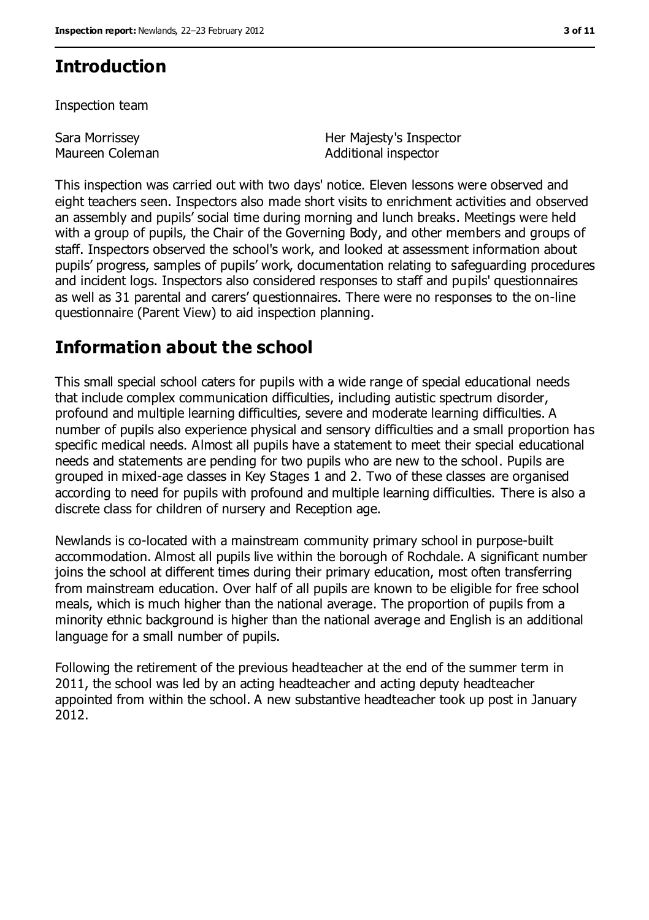### **Introduction**

Inspection team

Sara Morrissey Maureen Coleman Her Majesty's Inspector Additional inspector

This inspection was carried out with two days' notice. Eleven lessons were observed and eight teachers seen. Inspectors also made short visits to enrichment activities and observed an assembly and pupils' social time during morning and lunch breaks. Meetings were held with a group of pupils, the Chair of the Governing Body, and other members and groups of staff. Inspectors observed the school's work, and looked at assessment information about pupils' progress, samples of pupils' work, documentation relating to safeguarding procedures and incident logs. Inspectors also considered responses to staff and pupils' questionnaires as well as 31 parental and carers' questionnaires. There were no responses to the on-line questionnaire (Parent View) to aid inspection planning.

### **Information about the school**

This small special school caters for pupils with a wide range of special educational needs that include complex communication difficulties, including autistic spectrum disorder, profound and multiple learning difficulties, severe and moderate learning difficulties. A number of pupils also experience physical and sensory difficulties and a small proportion has specific medical needs. Almost all pupils have a statement to meet their special educational needs and statements are pending for two pupils who are new to the school. Pupils are grouped in mixed-age classes in Key Stages 1 and 2. Two of these classes are organised according to need for pupils with profound and multiple learning difficulties. There is also a discrete class for children of nursery and Reception age.

Newlands is co-located with a mainstream community primary school in purpose-built accommodation. Almost all pupils live within the borough of Rochdale. A significant number joins the school at different times during their primary education, most often transferring from mainstream education. Over half of all pupils are known to be eligible for free school meals, which is much higher than the national average. The proportion of pupils from a minority ethnic background is higher than the national average and English is an additional language for a small number of pupils.

Following the retirement of the previous headteacher at the end of the summer term in 2011, the school was led by an acting headteacher and acting deputy headteacher appointed from within the school. A new substantive headteacher took up post in January 2012.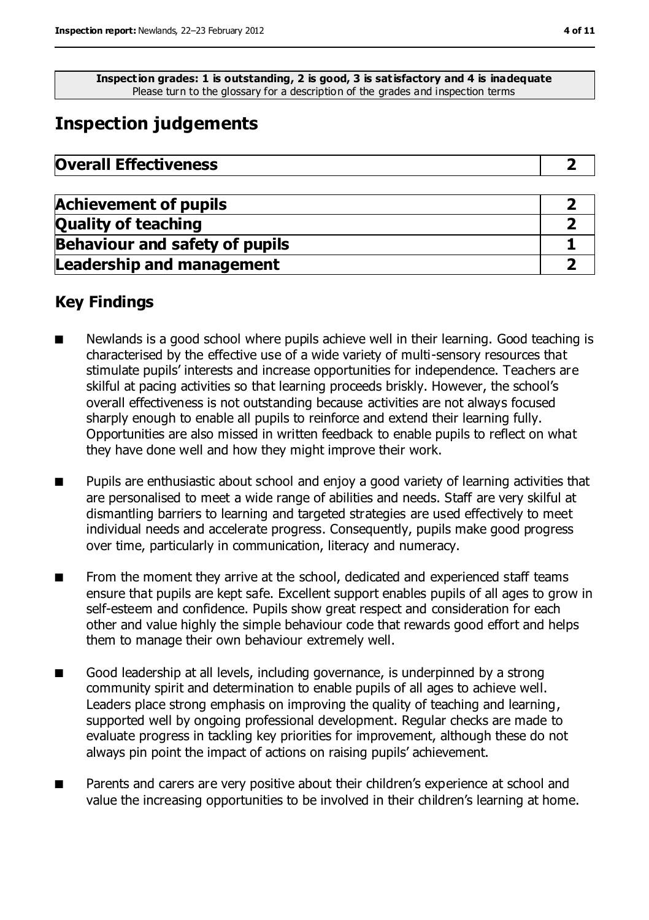**Inspection grades: 1 is outstanding, 2 is good, 3 is satisfactory and 4 is inadequate** Please turn to the glossary for a description of the grades and inspection terms

# **Inspection judgements**

| <b>Overall Effectiveness</b> |
|------------------------------|
|------------------------------|

| <b>Achievement of pupils</b>          |  |
|---------------------------------------|--|
| <b>Quality of teaching</b>            |  |
| <b>Behaviour and safety of pupils</b> |  |
| <b>Leadership and management</b>      |  |

### **Key Findings**

- Newlands is a good school where pupils achieve well in their learning. Good teaching is characterised by the effective use of a wide variety of multi-sensory resources that stimulate pupils' interests and increase opportunities for independence. Teachers are skilful at pacing activities so that learning proceeds briskly. However, the school's overall effectiveness is not outstanding because activities are not always focused sharply enough to enable all pupils to reinforce and extend their learning fully. Opportunities are also missed in written feedback to enable pupils to reflect on what they have done well and how they might improve their work.
- Pupils are enthusiastic about school and enjoy a good variety of learning activities that are personalised to meet a wide range of abilities and needs. Staff are very skilful at dismantling barriers to learning and targeted strategies are used effectively to meet individual needs and accelerate progress. Consequently, pupils make good progress over time, particularly in communication, literacy and numeracy.
- From the moment they arrive at the school, dedicated and experienced staff teams ensure that pupils are kept safe. Excellent support enables pupils of all ages to grow in self-esteem and confidence. Pupils show great respect and consideration for each other and value highly the simple behaviour code that rewards good effort and helps them to manage their own behaviour extremely well.
- Good leadership at all levels, including governance, is underpinned by a strong community spirit and determination to enable pupils of all ages to achieve well. Leaders place strong emphasis on improving the quality of teaching and learning, supported well by ongoing professional development. Regular checks are made to evaluate progress in tackling key priorities for improvement, although these do not always pin point the impact of actions on raising pupils' achievement.
- Parents and carers are very positive about their children's experience at school and value the increasing opportunities to be involved in their children's learning at home.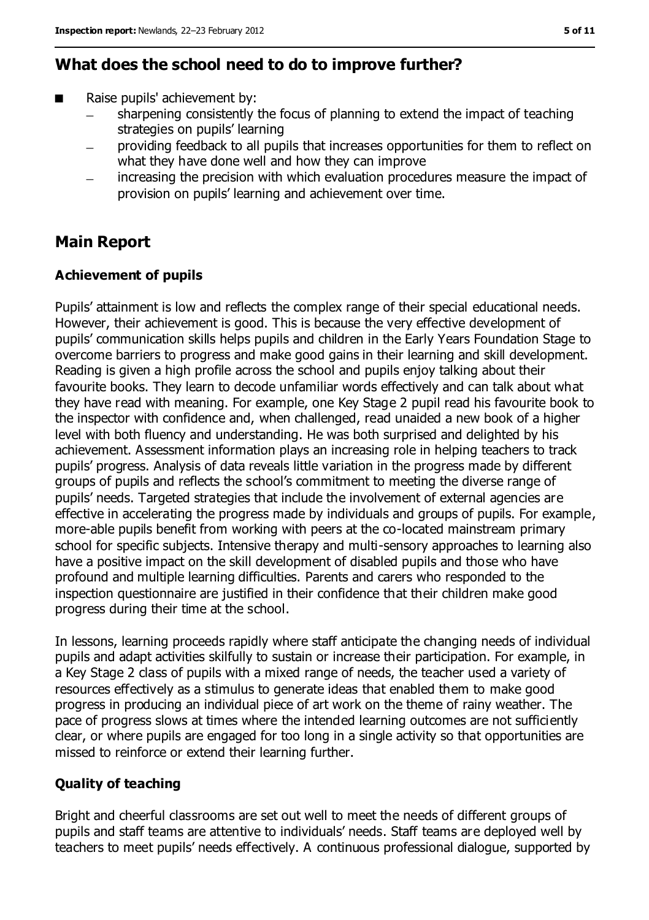### **What does the school need to do to improve further?**

- Raise pupils' achievement by:
	- sharpening consistently the focus of planning to extend the impact of teaching  $\overline{\phantom{0}}$ strategies on pupils' learning
	- providing feedback to all pupils that increases opportunities for them to reflect on what they have done well and how they can improve
	- increasing the precision with which evaluation procedures measure the impact of provision on pupils' learning and achievement over time.

### **Main Report**

#### **Achievement of pupils**

Pupils' attainment is low and reflects the complex range of their special educational needs. However, their achievement is good. This is because the very effective development of pupils' communication skills helps pupils and children in the Early Years Foundation Stage to overcome barriers to progress and make good gains in their learning and skill development. Reading is given a high profile across the school and pupils enjoy talking about their favourite books. They learn to decode unfamiliar words effectively and can talk about what they have read with meaning. For example, one Key Stage 2 pupil read his favourite book to the inspector with confidence and, when challenged, read unaided a new book of a higher level with both fluency and understanding. He was both surprised and delighted by his achievement. Assessment information plays an increasing role in helping teachers to track pupils' progress. Analysis of data reveals little variation in the progress made by different groups of pupils and reflects the school's commitment to meeting the diverse range of pupils' needs. Targeted strategies that include the involvement of external agencies are effective in accelerating the progress made by individuals and groups of pupils. For example, more-able pupils benefit from working with peers at the co-located mainstream primary school for specific subjects. Intensive therapy and multi-sensory approaches to learning also have a positive impact on the skill development of disabled pupils and those who have profound and multiple learning difficulties. Parents and carers who responded to the inspection questionnaire are justified in their confidence that their children make good progress during their time at the school.

In lessons, learning proceeds rapidly where staff anticipate the changing needs of individual pupils and adapt activities skilfully to sustain or increase their participation. For example, in a Key Stage 2 class of pupils with a mixed range of needs, the teacher used a variety of resources effectively as a stimulus to generate ideas that enabled them to make good progress in producing an individual piece of art work on the theme of rainy weather. The pace of progress slows at times where the intended learning outcomes are not sufficiently clear, or where pupils are engaged for too long in a single activity so that opportunities are missed to reinforce or extend their learning further.

#### **Quality of teaching**

Bright and cheerful classrooms are set out well to meet the needs of different groups of pupils and staff teams are attentive to individuals' needs. Staff teams are deployed well by teachers to meet pupils' needs effectively. A continuous professional dialogue, supported by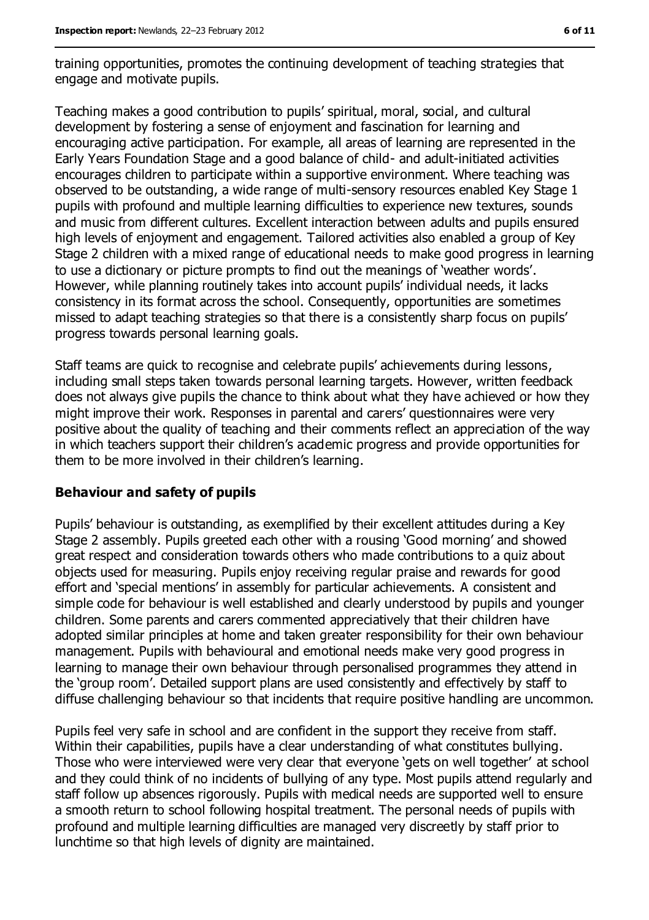training opportunities, promotes the continuing development of teaching strategies that engage and motivate pupils.

Teaching makes a good contribution to pupils' spiritual, moral, social, and cultural development by fostering a sense of enjoyment and fascination for learning and encouraging active participation. For example, all areas of learning are represented in the Early Years Foundation Stage and a good balance of child- and adult-initiated activities encourages children to participate within a supportive environment. Where teaching was observed to be outstanding, a wide range of multi-sensory resources enabled Key Stage 1 pupils with profound and multiple learning difficulties to experience new textures, sounds and music from different cultures. Excellent interaction between adults and pupils ensured high levels of enjoyment and engagement. Tailored activities also enabled a group of Key Stage 2 children with a mixed range of educational needs to make good progress in learning to use a dictionary or picture prompts to find out the meanings of 'weather words'. However, while planning routinely takes into account pupils' individual needs, it lacks consistency in its format across the school. Consequently, opportunities are sometimes missed to adapt teaching strategies so that there is a consistently sharp focus on pupils' progress towards personal learning goals.

Staff teams are quick to recognise and celebrate pupils' achievements during lessons, including small steps taken towards personal learning targets. However, written feedback does not always give pupils the chance to think about what they have achieved or how they might improve their work. Responses in parental and carers' questionnaires were very positive about the quality of teaching and their comments reflect an appreciation of the way in which teachers support their children's academic progress and provide opportunities for them to be more involved in their children's learning.

#### **Behaviour and safety of pupils**

Pupils' behaviour is outstanding, as exemplified by their excellent attitudes during a Key Stage 2 assembly. Pupils greeted each other with a rousing 'Good morning' and showed great respect and consideration towards others who made contributions to a quiz about objects used for measuring. Pupils enjoy receiving regular praise and rewards for good effort and 'special mentions' in assembly for particular achievements. A consistent and simple code for behaviour is well established and clearly understood by pupils and younger children. Some parents and carers commented appreciatively that their children have adopted similar principles at home and taken greater responsibility for their own behaviour management. Pupils with behavioural and emotional needs make very good progress in learning to manage their own behaviour through personalised programmes they attend in the 'group room'. Detailed support plans are used consistently and effectively by staff to diffuse challenging behaviour so that incidents that require positive handling are uncommon.

Pupils feel very safe in school and are confident in the support they receive from staff. Within their capabilities, pupils have a clear understanding of what constitutes bullying. Those who were interviewed were very clear that everyone 'gets on well together' at school and they could think of no incidents of bullying of any type. Most pupils attend regularly and staff follow up absences rigorously. Pupils with medical needs are supported well to ensure a smooth return to school following hospital treatment. The personal needs of pupils with profound and multiple learning difficulties are managed very discreetly by staff prior to lunchtime so that high levels of dignity are maintained.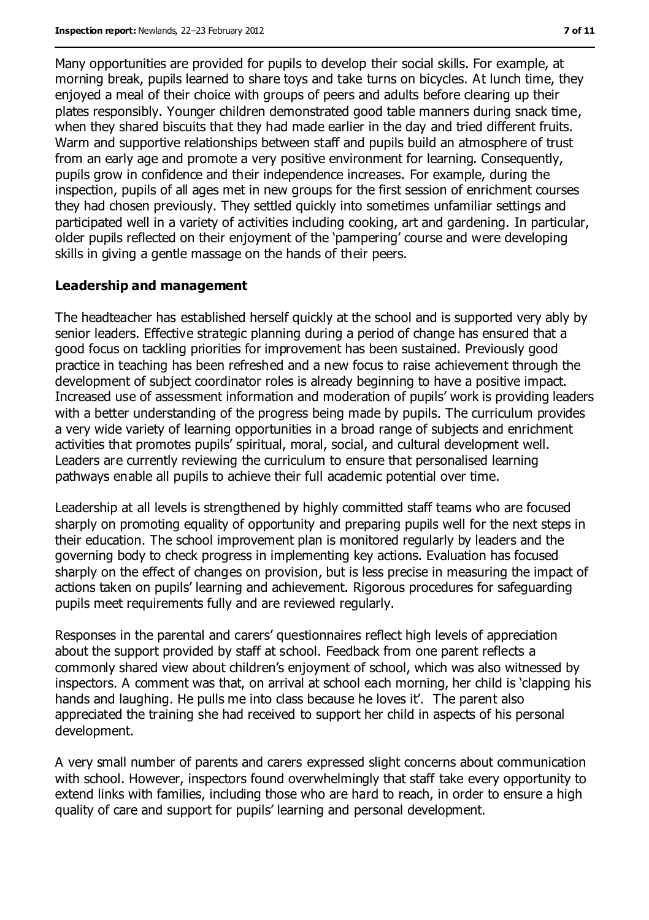Many opportunities are provided for pupils to develop their social skills. For example, at morning break, pupils learned to share toys and take turns on bicycles. At lunch time, they enjoyed a meal of their choice with groups of peers and adults before clearing up their plates responsibly. Younger children demonstrated good table manners during snack time, when they shared biscuits that they had made earlier in the day and tried different fruits. Warm and supportive relationships between staff and pupils build an atmosphere of trust from an early age and promote a very positive environment for learning. Consequently, pupils grow in confidence and their independence increases. For example, during the inspection, pupils of all ages met in new groups for the first session of enrichment courses they had chosen previously. They settled quickly into sometimes unfamiliar settings and participated well in a variety of activities including cooking, art and gardening. In particular, older pupils reflected on their enjoyment of the 'pampering' course and were developing skills in giving a gentle massage on the hands of their peers.

#### **Leadership and management**

The headteacher has established herself quickly at the school and is supported very ably by senior leaders. Effective strategic planning during a period of change has ensured that a good focus on tackling priorities for improvement has been sustained. Previously good practice in teaching has been refreshed and a new focus to raise achievement through the development of subject coordinator roles is already beginning to have a positive impact. Increased use of assessment information and moderation of pupils' work is providing leaders with a better understanding of the progress being made by pupils. The curriculum provides a very wide variety of learning opportunities in a broad range of subjects and enrichment activities that promotes pupils' spiritual, moral, social, and cultural development well. Leaders are currently reviewing the curriculum to ensure that personalised learning pathways enable all pupils to achieve their full academic potential over time.

Leadership at all levels is strengthened by highly committed staff teams who are focused sharply on promoting equality of opportunity and preparing pupils well for the next steps in their education. The school improvement plan is monitored regularly by leaders and the governing body to check progress in implementing key actions. Evaluation has focused sharply on the effect of changes on provision, but is less precise in measuring the impact of actions taken on pupils' learning and achievement. Rigorous procedures for safeguarding pupils meet requirements fully and are reviewed regularly.

Responses in the parental and carers' questionnaires reflect high levels of appreciation about the support provided by staff at school. Feedback from one parent reflects a commonly shared view about children's enjoyment of school, which was also witnessed by inspectors. A comment was that, on arrival at school each morning, her child is 'clapping his hands and laughing. He pulls me into class because he loves it'. The parent also appreciated the training she had received to support her child in aspects of his personal development.

A very small number of parents and carers expressed slight concerns about communication with school. However, inspectors found overwhelmingly that staff take every opportunity to extend links with families, including those who are hard to reach, in order to ensure a high quality of care and support for pupils' learning and personal development.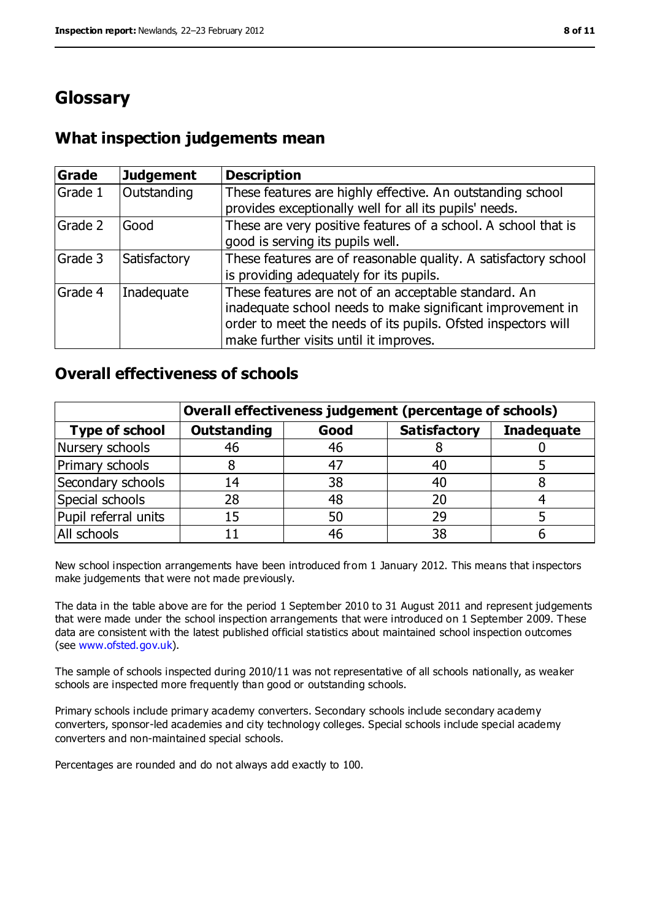## **Glossary**

### **What inspection judgements mean**

| Grade   | <b>Judgement</b> | <b>Description</b>                                                                                                                                                                                                            |
|---------|------------------|-------------------------------------------------------------------------------------------------------------------------------------------------------------------------------------------------------------------------------|
| Grade 1 | Outstanding      | These features are highly effective. An outstanding school<br>provides exceptionally well for all its pupils' needs.                                                                                                          |
| Grade 2 | Good             | These are very positive features of a school. A school that is<br>good is serving its pupils well.                                                                                                                            |
| Grade 3 | Satisfactory     | These features are of reasonable quality. A satisfactory school<br>is providing adequately for its pupils.                                                                                                                    |
| Grade 4 | Inadequate       | These features are not of an acceptable standard. An<br>inadequate school needs to make significant improvement in<br>order to meet the needs of its pupils. Ofsted inspectors will<br>make further visits until it improves. |

### **Overall effectiveness of schools**

|                       | Overall effectiveness judgement (percentage of schools) |      |                     |                   |
|-----------------------|---------------------------------------------------------|------|---------------------|-------------------|
| <b>Type of school</b> | <b>Outstanding</b>                                      | Good | <b>Satisfactory</b> | <b>Inadequate</b> |
| Nursery schools       | 46                                                      | 46   |                     |                   |
| Primary schools       |                                                         | $4-$ |                     |                   |
| Secondary schools     | 14                                                      | 38   |                     |                   |
| Special schools       | 28                                                      | 48   |                     |                   |
| Pupil referral units  | 15                                                      | 50   | 29                  |                   |
| All schools           |                                                         | 46   | 38                  |                   |

New school inspection arrangements have been introduced from 1 January 2012. This means that inspectors make judgements that were not made previously.

The data in the table above are for the period 1 September 2010 to 31 August 2011 and represent judgements that were made under the school inspection arrangements that were introduced on 1 September 2009. These data are consistent with the latest published official statistics about maintained school inspection outcomes (see [www.ofsted.gov.uk\)](../../../../smorrissey/AppData/Local/Microsoft/Windows/Temporary%20Internet%20Files/OLKBD94/www.ofsted.gov.uk).

The sample of schools inspected during 2010/11 was not representative of all schools nationally, as weaker schools are inspected more frequently than good or outstanding schools.

Primary schools include primary academy converters. Secondary schools include secondary academy converters, sponsor-led academies and city technology colleges. Special schools include special academy converters and non-maintained special schools.

Percentages are rounded and do not always add exactly to 100.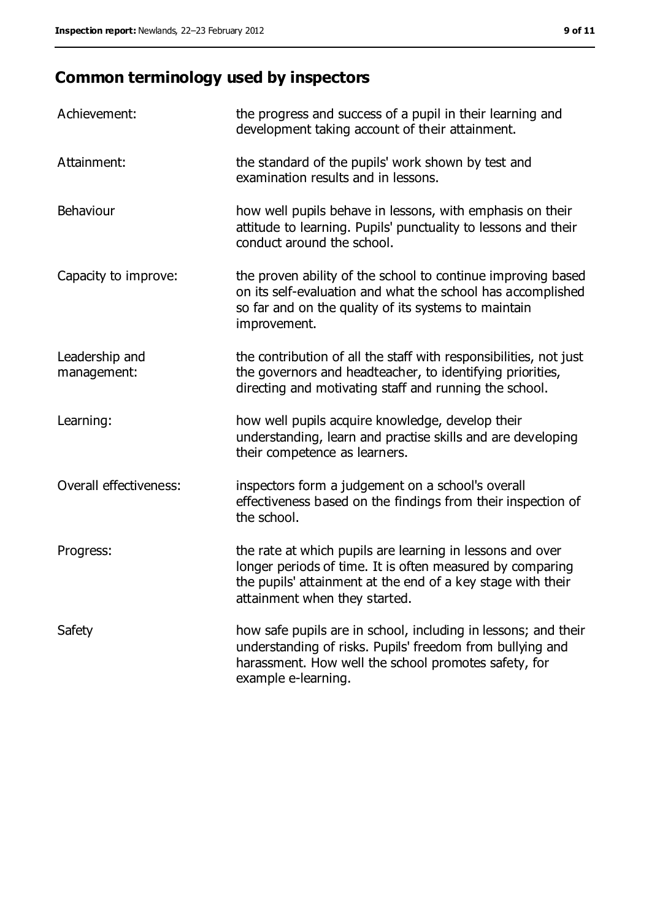# **Common terminology used by inspectors**

| Achievement:                  | the progress and success of a pupil in their learning and<br>development taking account of their attainment.                                                                                                           |
|-------------------------------|------------------------------------------------------------------------------------------------------------------------------------------------------------------------------------------------------------------------|
| Attainment:                   | the standard of the pupils' work shown by test and<br>examination results and in lessons.                                                                                                                              |
| Behaviour                     | how well pupils behave in lessons, with emphasis on their<br>attitude to learning. Pupils' punctuality to lessons and their<br>conduct around the school.                                                              |
| Capacity to improve:          | the proven ability of the school to continue improving based<br>on its self-evaluation and what the school has accomplished<br>so far and on the quality of its systems to maintain<br>improvement.                    |
| Leadership and<br>management: | the contribution of all the staff with responsibilities, not just<br>the governors and headteacher, to identifying priorities,<br>directing and motivating staff and running the school.                               |
| Learning:                     | how well pupils acquire knowledge, develop their<br>understanding, learn and practise skills and are developing<br>their competence as learners.                                                                       |
| Overall effectiveness:        | inspectors form a judgement on a school's overall<br>effectiveness based on the findings from their inspection of<br>the school.                                                                                       |
| Progress:                     | the rate at which pupils are learning in lessons and over<br>longer periods of time. It is often measured by comparing<br>the pupils' attainment at the end of a key stage with their<br>attainment when they started. |
| Safety                        | how safe pupils are in school, including in lessons; and their<br>understanding of risks. Pupils' freedom from bullying and<br>harassment. How well the school promotes safety, for<br>example e-learning.             |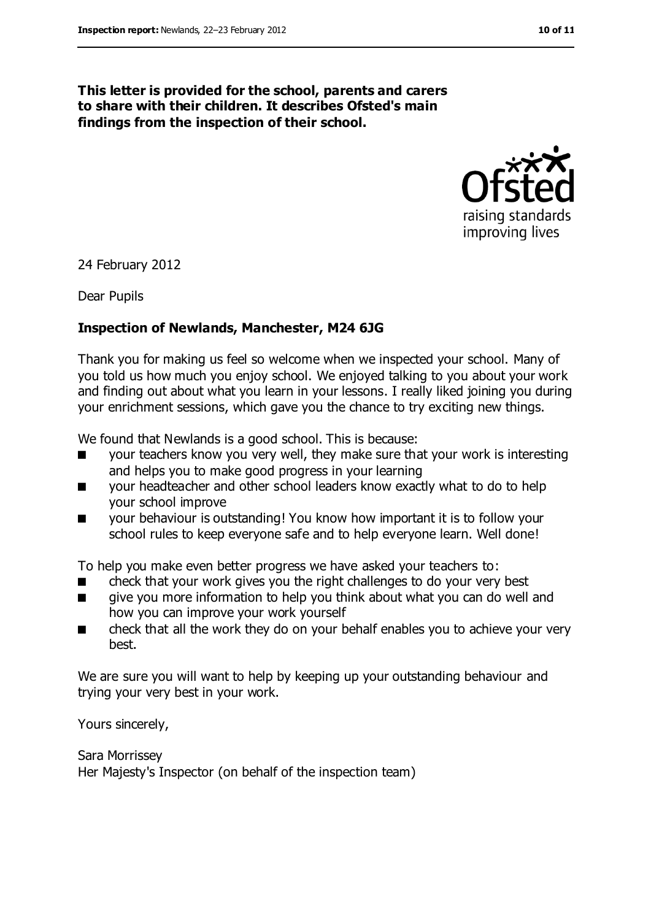#### **This letter is provided for the school, parents and carers to share with their children. It describes Ofsted's main findings from the inspection of their school.**



24 February 2012

Dear Pupils

#### **Inspection of Newlands, Manchester, M24 6JG**

Thank you for making us feel so welcome when we inspected your school. Many of you told us how much you enjoy school. We enjoyed talking to you about your work and finding out about what you learn in your lessons. I really liked joining you during your enrichment sessions, which gave you the chance to try exciting new things.

We found that Newlands is a good school. This is because:

- your teachers know you very well, they make sure that your work is interesting and helps you to make good progress in your learning
- your headteacher and other school leaders know exactly what to do to help your school improve
- your behaviour is outstanding! You know how important it is to follow your school rules to keep everyone safe and to help everyone learn. Well done!

To help you make even better progress we have asked your teachers to:

- check that your work gives you the right challenges to do your very best
- give you more information to help you think about what you can do well and how you can improve your work yourself
- check that all the work they do on your behalf enables you to achieve your very best.

We are sure you will want to help by keeping up your outstanding behaviour and trying your very best in your work.

Yours sincerely,

Sara Morrissey Her Majesty's Inspector (on behalf of the inspection team)